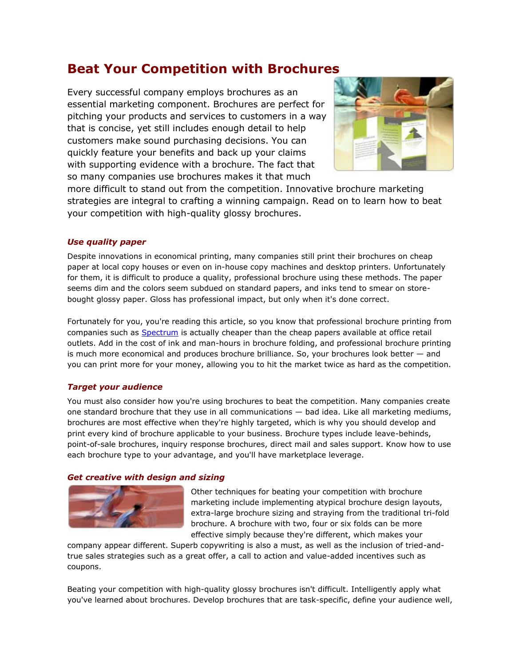# **Beat Your Competition with Brochures**

Every successful company employs brochures as an essential marketing component. Brochures are perfect for pitching your products and services to customers in a way that is concise, yet still includes enough detail to help customers make sound purchasing decisions. You can quickly feature your benefits and back up your claims with supporting evidence with a brochure. The fact that so many companies use brochures makes it that much



more difficult to stand out from the competition. Innovative brochure marketing strategies are integral to crafting a winning campaign. Read on to learn how to beat your competition with high-quality glossy brochures.

## *Use quality paper*

Despite innovations in economical printing, many companies still print their brochures on cheap paper at local copy houses or even on in-house copy machines and desktop printers. Unfortunately for them, it is difficult to produce a quality, professional brochure using these methods. The paper seems dim and the colors seem subdued on standard papers, and inks tend to smear on storebought glossy paper. Gloss has professional impact, but only when it's done correct.

Fortunately for you, you're reading this article, so you know that professional brochure printing from companies such as [Spectrum](http://www.spectrumcolorprinting.com/) is actually cheaper than the cheap papers available at office retail outlets. Add in the cost of ink and man-hours in brochure folding, and professional brochure printing is much more economical and produces brochure brilliance. So, your brochures look better — and you can print more for your money, allowing you to hit the market twice as hard as the competition.

### *Target your audience*

You must also consider how you're using brochures to beat the competition. Many companies create one standard brochure that they use in all communications — bad idea. Like all marketing mediums, brochures are most effective when they're highly targeted, which is why you should develop and print every kind of brochure applicable to your business. Brochure types include leave-behinds, point-of-sale brochures, inquiry response brochures, direct mail and sales support. Know how to use each brochure type to your advantage, and you'll have marketplace leverage.

### *Get creative with design and sizing*



Other techniques for beating your competition with brochure marketing include implementing atypical brochure design layouts, extra-large brochure sizing and straying from the traditional tri-fold brochure. A brochure with two, four or six folds can be more effective simply because they're different, which makes your

company appear different. Superb copywriting is also a must, as well as the inclusion of tried-andtrue sales strategies such as a great offer, a call to action and value-added incentives such as coupons.

Beating your competition with high-quality glossy brochures isn't difficult. Intelligently apply what you've learned about brochures. Develop brochures that are task-specific, define your audience well,